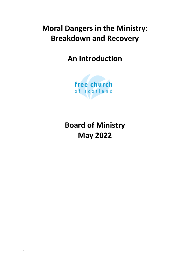# **Moral Dangers in the Ministry: Breakdown and Recovery**

# **An Introduction**



**Board of Ministry May 2022**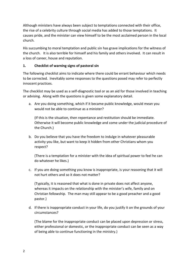Although ministers have always been subject to temptations connected with their office, the rise of a celebrity culture through social media has added to those temptations. It causes pride, and the minister can view himself to be the most acclaimed person in the local church.

His succumbing to moral temptation and public sin has grave implications for the witness of the church. It is also terrible for himself and his family and others involved. It can result in a loss of career, house and reputation.

### **1. Checklist of warning signs of pastoral sin**

The following checklist aims to indicate where there could be errant behaviour which needs to be corrected. Inevitably some responses to the questions posed may refer to perfectly innocent practices.

The checklist may be used as a self-diagnostic tool or as an aid for those involved in teaching or advising. Along with the questions is given some explanatory detail.

a. Are you doing something, which if it became public knowledge, would mean you would not be able to continue as a minister?

(If this is the situation, then repentance and restitution should be immediate. Otherwise it will become public knowledge and come under the judicial procedure of the Church.)

b. Do you believe that you have the freedom to indulge in whatever pleasurable activity you like, but want to keep it hidden from other Christians whom you respect?

(There is a temptation for a minister with the idea of spiritual power to feel he can do whatever he likes.)

c. If you are doing something you know is inappropriate, is your reasoning that it will not hurt others and so it does not matter?

(Typically, it is reasoned that what is done in private does not affect anyone, whereas it impacts on the relationship with the minister's wife, family and on Christian fellowship. The man may still appear to be a good preacher and a good pastor.)

d. If there is inappropriate conduct in your life, do you justify it on the grounds of your circumstances?

(The blame for the inappropriate conduct can be placed upon depression or stress, either professional or domestic, or the inappropriate conduct can be seen as a way of being able to continue functioning in the ministry.)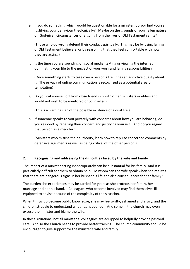e. If you do something which would be questionable for a minister, do you find yourself justifying your behaviour theologically? Maybe on the grounds of your fallen nature or God-given circumstances or arguing from the lives of Old Testament saints?

(Those who do wrong defend their conduct spiritually. This may be by using failings of Old Testament believers, or by reasoning that they feel comfortable with how they are acting.)

f. Is the time you are spending on social media, texting or viewing the internet dominating your life to the neglect of your work and family responsibilities?

(Once something starts to take over a person's life, it has an addictive quality about it. The privacy of online communication is recognized as a potential area of temptation)

g. Do you cut yourself off from close friendship with other ministers or elders and would not wish to be mentored or counselled?

(This is a warning sign of the possible existence of a dual life.)

h. If someone speaks to you privately with concerns about how you are behaving, do you respond by repelling their concern and justifying yourself. And do you regard that person as a meddler?

(Ministers who misuse their authority, learn how to repulse concerned comments by defensive arguments as well as being critical of the other person.)

## **2. Recognising and addressing the difficulties faced by the wife and family**

The impact of a minister acting inappropriately can be substantial for his family. And it is particularly difficult for them to obtain help. To whom can the wife speak when she realizes that there are dangerous signs in her husband's life and also consequences for her family?

The burden she experiences may be carried for years as she protects her family, her marriage and her husband. Colleagues who become involved may find themselves ill equipped to advise because of the complexity of the situation.

When things do become public knowledge, she may feel guilty, ashamed and angry, and the children struggle to understand what has happened. And some in the church may even excuse the minister and blame the wife.

In these situations, not all ministerial colleagues are equipped to helpfully provide pastoral care. And so the Church needs to provide better training. The church community should be encouraged to give support for the minister's wife and family.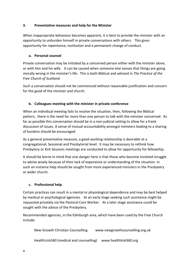### **3. Preventative measures and help for the Minister**

When inappropriate behaviour becomes apparent, it is best to provide the minister with an opportunity to unburden himself in private conversations with others. This gives opportunity for repentance, restitution and a permanent change of conduct.

### **a. Personal counsel**

Private conversation may be initiated by a concerned person either with the minister alone, or with him and his wife. It can be caused when someone else senses that things are going morally wrong in the minister's life. This is both Biblical and advised in *The Practice of the Free Church of Scotland.* 

*S*uch a conversation should not be commenced without reasonable justification and concern for the good of the minister and church.

#### **b. Colleagues meeting with the minister in private conference**

When an individual meeting fails to resolve the situation, then, following the Biblical pattern, there is the need for more than one person to talk with the minister concerned. As far as possible this conversation should be in a non-judicial setting to allow for a frank discussion of issues. A sense of mutual accountability amongst ministers leading to a sharing of burdens should be encouraged.

As a general preventative measure, a good working relationship is desirable at a congregational, Sessional and Presbyterial level. It may be necessary to rethink how Presbytery or Kirk Sessions meetings are conducted to allow for opportunity for fellowship.

It should be borne in mind that one danger here is that those who become involved struggle to advise wisely because of their lack of experience or understanding of the situation. In such an instance help should be sought from more experienced ministers in the Presbytery or wider church.

#### **c. Professional help**

Certain practices can result in a mental or physiological dependence and may be best helped by medical or psychological agencies. At an early stage seeking such assistance might be requested privately via the Pastoral Care Worker. At a later stage assistance could be sought with the advice of the Presbytery.

Recommended agencies, in the Edinburgh area, which have been used by the Free Church include:

New Growth Christian Counselling [www.newgrowthcounselling.org.uk](http://www.newgrowthcounselling.org.uk/)

HealthLink360 (medical and counselling) [www.healthlink360.org](http://www.healthlink360.org/)